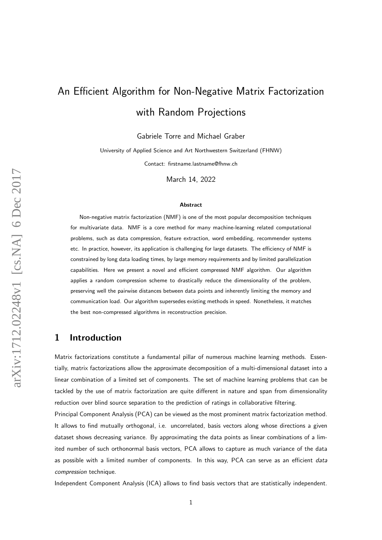# An Efficient Algorithm for Non-Negative Matrix Factorization with Random Projections

Gabriele Torre and Michael Graber

University of Applied Science and Art Northwestern Switzerland (FHNW)

Contact: firstname.lastname@fhnw.ch

March 14, 2022

#### Abstract

Non-negative matrix factorization (NMF) is one of the most popular decomposition techniques for multivariate data. NMF is a core method for many machine-learning related computational problems, such as data compression, feature extraction, word embedding, recommender systems etc. In practice, however, its application is challenging for large datasets. The efficiency of NMF is constrained by long data loading times, by large memory requirements and by limited parallelization capabilities. Here we present a novel and efficient compressed NMF algorithm. Our algorithm applies a random compression scheme to drastically reduce the dimensionality of the problem, preserving well the pairwise distances between data points and inherently limiting the memory and communication load. Our algorithm supersedes existing methods in speed. Nonetheless, it matches the best non-compressed algorithms in reconstruction precision.

## 1 Introduction

Matrix factorizations constitute a fundamental pillar of numerous machine learning methods. Essentially, matrix factorizations allow the approximate decomposition of a multi-dimensional dataset into a linear combination of a limited set of components. The set of machine learning problems that can be tackled by the use of matrix factorization are quite different in nature and span from dimensionality reduction over blind source separation to the prediction of ratings in collaborative filtering.

Principal Component Analysis (PCA) can be viewed as the most prominent matrix factorization method. It allows to find mutually orthogonal, i.e. uncorrelated, basis vectors along whose directions a given dataset shows decreasing variance. By approximating the data points as linear combinations of a limited number of such orthonormal basis vectors, PCA allows to capture as much variance of the data as possible with a limited number of components. In this way, PCA can serve as an efficient *data* compression technique.

Independent Component Analysis (ICA) allows to find basis vectors that are statistically independent.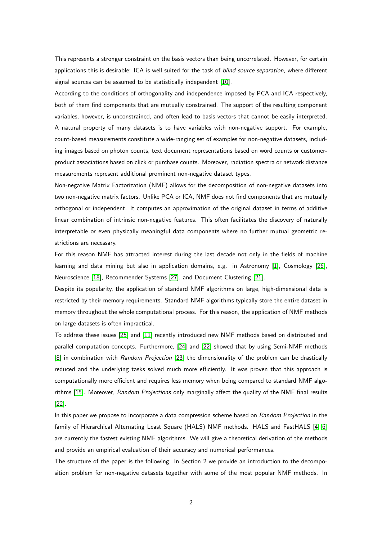This represents a stronger constraint on the basis vectors than being uncorrelated. However, for certain applications this is desirable: ICA is well suited for the task of blind source separation, where different signal sources can be assumed to be statistically independent [\[10\]](#page-17-0).

According to the conditions of orthogonality and independence imposed by PCA and ICA respectively, both of them find components that are mutually constrained. The support of the resulting component variables, however, is unconstrained, and often lead to basis vectors that cannot be easily interpreted. A natural property of many datasets is to have variables with non-negative support. For example, count-based measurements constitute a wide-ranging set of examples for non-negative datasets, including images based on photon counts, text document representations based on word counts or customerproduct associations based on click or purchase counts. Moreover, radiation spectra or network distance measurements represent additional prominent non-negative dataset types.

Non-negative Matrix Factorization (NMF) allows for the decomposition of non-negative datasets into two non-negative matrix factors. Unlike PCA or ICA, NMF does not find components that are mutually orthogonal or independent. It computes an approximation of the original dataset in terms of additive linear combination of intrinsic non-negative features. This often facilitates the discovery of naturally interpretable or even physically meaningful data components where no further mutual geometric restrictions are necessary.

For this reason NMF has attracted interest during the last decade not only in the fields of machine learning and data mining but also in application domains, e.g. in Astronomy [\[1\]](#page-17-1), Cosmology [\[26\]](#page-19-0), Neuroscience [\[18\]](#page-18-0), Recommender Systems [\[27\]](#page-19-1), and Document Clustering [\[21\]](#page-18-1).

Despite its popularity, the application of standard NMF algorithms on large, high-dimensional data is restricted by their memory requirements. Standard NMF algorithms typically store the entire dataset in memory throughout the whole computational process. For this reason, the application of NMF methods on large datasets is often impractical.

To address these issues [\[25\]](#page-18-2) and [\[11\]](#page-17-2) recently introduced new NMF methods based on distributed and parallel computation concepts. Furthermore, [\[24\]](#page-18-3) and [\[22\]](#page-18-4) showed that by using Semi-NMF methods [\[8\]](#page-17-3) in combination with Random Projection [\[23\]](#page-18-5) the dimensionality of the problem can be drastically reduced and the underlying tasks solved much more efficiently. It was proven that this approach is computationally more efficient and requires less memory when being compared to standard NMF algo-rithms [\[15\]](#page-18-6). Moreover, Random Projections only marginally affect the quality of the NMF final results [\[22\]](#page-18-4).

In this paper we propose to incorporate a data compression scheme based on Random Projection in the family of Hierarchical Alternating Least Square (HALS) NMF methods. HALS and FastHALS [\[4,](#page-17-4) [6\]](#page-17-5) are currently the fastest existing NMF algorithms. We will give a theoretical derivation of the methods and provide an empirical evaluation of their accuracy and numerical performances.

The structure of the paper is the following: In Section 2 we provide an introduction to the decomposition problem for non-negative datasets together with some of the most popular NMF methods. In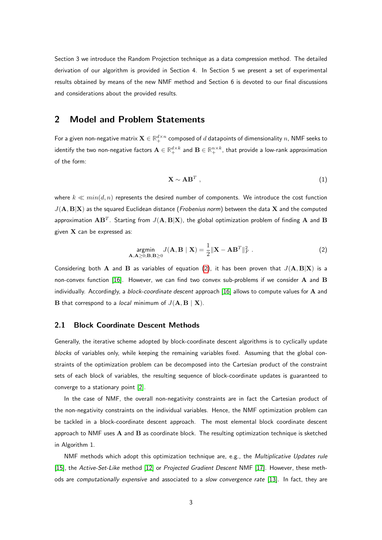Section 3 we introduce the Random Projection technique as a data compression method. The detailed derivation of our algorithm is provided in Section 4. In Section 5 we present a set of experimental results obtained by means of the new NMF method and Section 6 is devoted to our final discussions and considerations about the provided results.

## 2 Model and Problem Statements

For a given non-negative matrix  $\mathbf{X}\in\mathbb{R}_+^{d\times n}$  composed of  $d$  datapoints of dimensionality  $n$ , NMF seeks to identify the two non-negative factors  $\mathbf{A}\in\mathbb{R}_+^{d\times k}$  and  $\mathbf{B}\in\mathbb{R}_+^{n\times k}$ , that provide a low-rank approximation of the form:

$$
\mathbf{X} \sim \mathbf{A} \mathbf{B}^T \tag{1}
$$

where  $k \ll min(d, n)$  represents the desired number of components. We introduce the cost function  $J(\mathbf{A}, \mathbf{B}|\mathbf{X})$  as the squared Euclidean distance (*Frobenius norm*) between the data X and the computed approximation  $\mathbf{A}\mathbf{B}^T$ . Starting from  $J(\mathbf{A},\mathbf{B}|\mathbf{X})$ , the global optimization problem of finding  $\mathbf{A}$  and  $\mathbf{B}$ given  $X$  can be expressed as:

<span id="page-2-0"></span>
$$
\underset{\mathbf{A}, \mathbf{A} \geq 0; \mathbf{B}, \mathbf{B} \geq 0}{\text{argmin}} J(\mathbf{A}, \mathbf{B} \mid \mathbf{X}) = \frac{1}{2} \|\mathbf{X} - \mathbf{A} \mathbf{B}^T\|_F^2.
$$
 (2)

Considering both A and B as variables of equation [\(2\)](#page-2-0), it has been proven that  $J(A, B|X)$  is a non-convex function [\[16\]](#page-18-7). However, we can find two convex sub-problems if we consider  $A$  and  $B$ individually. Accordingly, a *block-coordinate descent* approach  $[16]$  allows to compute values for  $A$  and **B** that correspond to a *local* minimum of  $J(\mathbf{A}, \mathbf{B} | \mathbf{X})$ .

#### <span id="page-2-1"></span>2.1 Block Coordinate Descent Methods

Generally, the iterative scheme adopted by block-coordinate descent algorithms is to cyclically update blocks of variables only, while keeping the remaining variables fixed. Assuming that the global constraints of the optimization problem can be decomposed into the Cartesian product of the constraint sets of each block of variables, the resulting sequence of block-coordinate updates is guaranteed to converge to a stationary point [\[2\]](#page-17-6).

In the case of NMF, the overall non-negativity constraints are in fact the Cartesian product of the non-negativity constraints on the individual variables. Hence, the NMF optimization problem can be tackled in a block-coordinate descent approach. The most elemental block coordinate descent approach to NMF uses  $A$  and  $B$  as coordinate block. The resulting optimization technique is sketched in Algorithm 1.

NMF methods which adopt this optimization technique are, e.g., the Multiplicative Updates rule [\[15\]](#page-18-6), the Active-Set-Like method [\[12\]](#page-18-8) or Projected Gradient Descent NMF [\[17\]](#page-18-9). However, these meth-ods are computationally expensive and associated to a slow convergence rate [\[13\]](#page-18-10). In fact, they are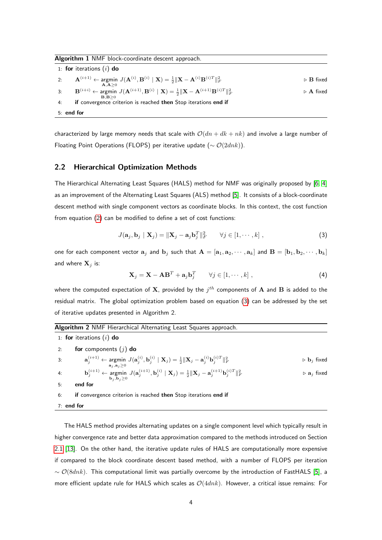Algorithm 1 NMF block-coordinate descent approach.

|            | 1: for iterations $(i)$ do                                                                                                                                                                          |                                 |  |
|------------|-----------------------------------------------------------------------------------------------------------------------------------------------------------------------------------------------------|---------------------------------|--|
|            | 2: $\mathbf{A}^{(i+1)} \leftarrow \text{argmin} \ J(\mathbf{A}^{(i)}, \mathbf{B}^{(i)} \mid \mathbf{X}) = \frac{1}{2} \ \mathbf{X} - \mathbf{A}^{(i)}\mathbf{B}^{(i)T}\ _F^2$                       | $\triangleright$ <b>B</b> fixed |  |
| 3:         | A.A > 0<br>$\mathbf{B}^{(i+i)} \leftarrow \text{argmin} \ J(\mathbf{A}^{(i+1)}, \mathbf{B}^{(i)} \mid \mathbf{X}) = \frac{1}{2} \ \mathbf{X} - \mathbf{A}^{(i+1)} \mathbf{B}^{(i)T}\ _F^2$<br>B.B>0 | $\triangleright$ A fixed        |  |
| 4:         | if convergence criterion is reached then Stop iterations end if                                                                                                                                     |                                 |  |
| 5: end for |                                                                                                                                                                                                     |                                 |  |

characterized by large memory needs that scale with  $O(dn + dk + nk)$  and involve a large number of Floating Point Operations (FLOPS) per iterative update ( $\sim \mathcal{O}(2dnk)$ ).

#### 2.2 Hierarchical Optimization Methods

The Hierarchical Alternating Least Squares (HALS) method for NMF was originally proposed by [\[6,](#page-17-5) [4\]](#page-17-4) as an improvement of the Alternating Least Squares (ALS) method [\[5\]](#page-17-7). It consists of a block-coordinate descent method with single component vectors as coordinate blocks. In this context, the cost function from equation [\(2\)](#page-2-0) can be modified to define a set of cost functions:

<span id="page-3-0"></span>
$$
J(\mathbf{a}_j, \mathbf{b}_j \mid \mathbf{X}_j) = \|\mathbf{X}_j - \mathbf{a}_j \mathbf{b}_j^T\|_F^2 \qquad \forall j \in [1, \cdots, k] ,
$$
 (3)

one for each component vector  $a_j$  and  $b_j$  such that  $A = [a_1, a_2, \cdots, a_k]$  and  $B = [b_1, b_2, \cdots, b_k]$ and where  $X_i$  is:

$$
\mathbf{X}_{j} = \mathbf{X} - \mathbf{A}\mathbf{B}^{T} + \mathbf{a}_{j}\mathbf{b}_{j}^{T} \qquad \forall j \in [1, \cdots, k] ,
$$
 (4)

where the computed expectation of  $\mathbf X$ , provided by the  $j^{th}$  components of  $\mathbf A$  and  $\mathbf B$  is added to the residual matrix. The global optimization problem based on equation [\(3\)](#page-3-0) can be addressed by the set of iterative updates presented in Algorithm 2.

<span id="page-3-1"></span>

| <b>Algorithm 2</b> NMF Hierarchical Alternating Least Squares approach.                                                                                                                                                                               |                                              |  |  |
|-------------------------------------------------------------------------------------------------------------------------------------------------------------------------------------------------------------------------------------------------------|----------------------------------------------|--|--|
| 1: for iterations $(i)$ do                                                                                                                                                                                                                            |                                              |  |  |
| for components $(j)$ do<br>2:                                                                                                                                                                                                                         |                                              |  |  |
| $\mathbf{a}_{j}^{(i+1)} \leftarrow \text{argmin} \ J(\mathbf{a}_{j}^{(i)}, \mathbf{b}_{j}^{(i)} \mid \mathbf{X}_{j}) = \frac{1}{2} \ \mathbf{X}_{j} - \mathbf{a}_{j}^{(i)} \mathbf{b}_{j}^{(i)T}\ _{F}^{2}$<br>3:<br>$\mathbf{a}_i, \mathbf{a}_i > 0$ | $\triangleright$ <b>b</b> <sub>i</sub> fixed |  |  |
| $\mathbf{b}_i^{(i+1)} \leftarrow \text{argmin} \ J(\mathbf{a}_i^{(i+1)}, \mathbf{b}_i^{(i)} \mid \mathbf{X}_j) = \frac{1}{2} \ \mathbf{X}_j - \mathbf{a}_i^{(i+1)} \mathbf{b}_i^{(i)T}\ _F^2$<br>4:<br>$\mathbf{b}_i, \mathbf{b}_i \geq 0$            | $\triangleright$ $a_j$ fixed                 |  |  |
| end for<br>5:                                                                                                                                                                                                                                         |                                              |  |  |
| <b>if</b> convergence criterion is reached then Stop iterations end if<br>6:                                                                                                                                                                          |                                              |  |  |
| $7:$ end for                                                                                                                                                                                                                                          |                                              |  |  |

The HALS method provides alternating updates on a single component level which typically result in higher convergence rate and better data approximation compared to the methods introduced on Section [2.1](#page-2-1) [\[13\]](#page-18-10). On the other hand, the iterative update rules of HALS are computationally more expensive if compared to the block coordinate descent based method, with a number of FLOPS per iteration  $~\sim \mathcal{O}(8dnk)$ . This computational limit was partially overcome by the introduction of FastHALS [\[5\]](#page-17-7), a more efficient update rule for HALS which scales as  $O(4dnk)$ . However, a critical issue remains: For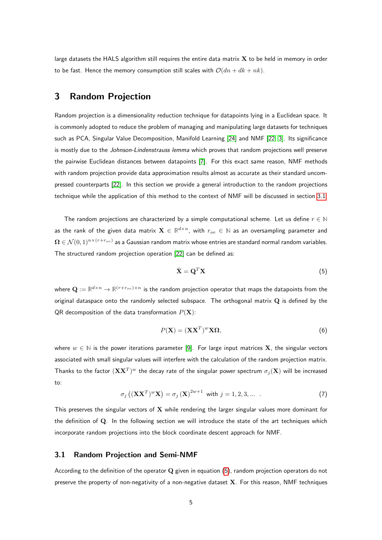large datasets the HALS algorithm still requires the entire data matrix  $X$  to be held in memory in order to be fast. Hence the memory consumption still scales with  $O(dn + dk + nk)$ .

# 3 Random Projection

Random projection is a dimensionality reduction technique for datapoints lying in a Euclidean space. It is commonly adopted to reduce the problem of managing and manipulating large datasets for techniques such as PCA, Singular Value Decomposition, Manifold Learning [\[24\]](#page-18-3) and NMF [\[22,](#page-18-4) [3\]](#page-17-8). Its significance is mostly due to the Johnson-Lindenstrauss lemma which proves that random projections well preserve the pairwise Euclidean distances between datapoints [\[7\]](#page-17-9). For this exact same reason, NMF methods with random projection provide data approximation results almost as accurate as their standard uncompressed counterparts [\[22\]](#page-18-4). In this section we provide a general introduction to the random projections technique while the application of this method to the context of NMF will be discussed in section [3.1.](#page-4-0)

The random projections are characterized by a simple computational scheme. Let us define  $r \in \mathbb{N}$ as the rank of the given data matrix  $\mathbf{X}\in\mathbb{R}^{d\times n}$ , with  $r_{ov}\in\mathbb{N}$  as an oversampling parameter and  $\bm{\Omega}\in\mathcal{N}(0,1)^{n\times (r+r_{ov})}$  as a Gaussian random matrix whose entries are standard normal random variables. The structured random projection operation [\[22\]](#page-18-4) can be defined as:

<span id="page-4-1"></span>
$$
\hat{\mathbf{X}} = \mathbf{Q}^T \mathbf{X} \tag{5}
$$

where  $\mathbf{Q}:=\mathbb{R}^{d\times n}\to\mathbb{R}^{(r+r_{ov})\times n}$  is the random projection operator that maps the datapoints from the original dataspace onto the randomly selected subspace. The orthogonal matrix  $Q$  is defined by the QR decomposition of the data transformation  $P(X)$ :

$$
P(\mathbf{X}) = (\mathbf{X}\mathbf{X}^T)^w \mathbf{X} \mathbf{\Omega},\tag{6}
$$

where  $w \in \mathbb{N}$  is the power iterations parameter [\[9\]](#page-17-10). For large input matrices **X**, the singular vectors associated with small singular values will interfere with the calculation of the random projection matrix. Thanks to the factor  $(\mathbf{X}\mathbf{X}^T)^w$  the decay rate of the singular power spectrum  $\sigma_j(\mathbf{X})$  will be increased to:

$$
\sigma_j\left((\mathbf{X}\mathbf{X}^T)^w\mathbf{X}\right) = \sigma_j\left(\mathbf{X}\right)^{2w+1} \text{ with } j = 1, 2, 3, \dots \tag{7}
$$

This preserves the singular vectors of  $X$  while rendering the larger singular values more dominant for the definition of Q. In the following section we will introduce the state of the art techniques which incorporate random projections into the block coordinate descent approach for NMF.

#### <span id="page-4-0"></span>3.1 Random Projection and Semi-NMF

According to the definition of the operator  $Q$  given in equation  $(5)$ , random projection operators do not preserve the property of non-negativity of a non-negative dataset  $X$ . For this reason, NMF techniques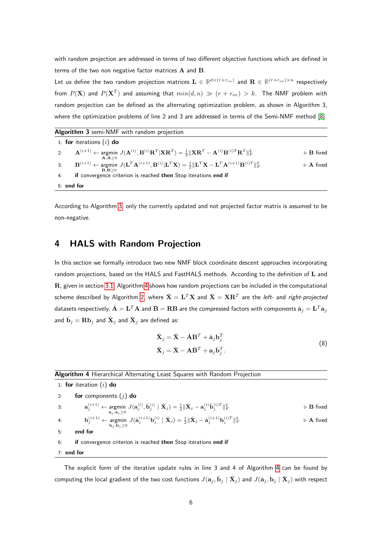with random projection are addressed in terms of two different objective functions which are defined in terms of the two non negative factor matrices A and B.

Let us define the two random projection matrices  $\mathbf{L}\in\mathbb{R}^{d\times(r+r_{ov})}$  and  $\mathbf{R}\in\mathbb{R}^{(r+r_{ov})\times n}$  respectively from  $P({\bf X})$  and  $P({\bf X}^T)$  and assuming that  $min(d,n) \, \gg \, (r + r_{ov}) \, > \, k.$  The NMF problem with random projection can be defined as the alternating optimization problem, as shown in Algorithm 3, where the optimization problems of line 2 and 3 are addressed in terms of the Semi-NMF method [\[8\]](#page-17-3).

<span id="page-5-0"></span>

| Algorithm 3 semi-NMF with random projection                                                                                                                                                                                                      |                                 |  |  |
|--------------------------------------------------------------------------------------------------------------------------------------------------------------------------------------------------------------------------------------------------|---------------------------------|--|--|
| 1: for iterations $(i)$ do                                                                                                                                                                                                                       |                                 |  |  |
| $\mathbf{A}^{(i+1)} \leftarrow \text{argmin} \ J(\mathbf{A}^{(i)}, \mathbf{B}^{(i)} \mathbf{R}^T   \mathbf{X} \mathbf{R}^T) = \frac{1}{2} \ \mathbf{X} \mathbf{R}^T - \mathbf{A}^{(i)} \mathbf{B}^{(i)T} \mathbf{R}^T \ _F^2$<br>2:<br>A.A>0     | $\triangleright$ <b>B</b> fixed |  |  |
| $\mathbf{B}^{(i+1)} \leftarrow \text{argmin} \ J(\mathbf{L}^T \mathbf{A}^{(i+1)}, \mathbf{B}^{(i)}   \mathbf{L}^T \mathbf{X}) = \frac{1}{2}   \mathbf{L}^T \mathbf{X} - \mathbf{L}^T \mathbf{A}^{(i+1)} \mathbf{B}^{(i)T}   _F^2$<br>3:<br>B.B>0 | $\triangleright$ A fixed        |  |  |
| if convergence criterion is reached then Stop iterations end if<br>4:                                                                                                                                                                            |                                 |  |  |
| $5:$ end for                                                                                                                                                                                                                                     |                                 |  |  |

According to Algorithm [3,](#page-5-0) only the currently updated and not projected factor matrix is assumed to be non-negative.

# <span id="page-5-3"></span>4 HALS with Random Projection

In this section we formally introduce two new NMF block coordinate descent approaches incorporating random projections, based on the HALS and FastHALS methods. According to the definition of L and **, given in section [3.1,](#page-4-0) Algorithm [4](#page-5-1) shows how random projections can be included in the computational** scheme described by Algorithm [2,](#page-3-1) where  $\hat{\mathbf{X}} = \mathbf{L}^T\mathbf{X}$  and  $\check{\mathbf{X}} = \mathbf{X}\mathbf{R}^T$  are the *left-* and *right-projected* datasets respectively,  $\hat{\bf A} = {\bf L}^T {\bf A}$  and  $\check{\bf B} = {\bf R} {\bf B}$  are the compressed factors with components  $\hat{\bf a}_j = {\bf L}^T {\bf a}_j$ and  $\check{\mathbf{b}}_j = \mathbf{R} \mathbf{b}_j$  and  $\hat{\mathbf{X}}_j$  are defined as:

$$
\hat{\mathbf{X}}_{j} = \hat{\mathbf{X}} - \hat{\mathbf{A}} \mathbf{B}^{T} + \hat{\mathbf{a}}_{j} \mathbf{b}_{j}^{T}
$$
\n
$$
\check{\mathbf{X}}_{j} = \check{\mathbf{X}} - \mathbf{A} \check{\mathbf{B}}^{T} + \mathbf{a}_{j} \check{\mathbf{b}}_{j}^{T}.
$$
\n(8)

#### <span id="page-5-2"></span><span id="page-5-1"></span>Algorithm 4 Hierarchical Alternating Least Squares with Random Projection

1: for iteration  $(i)$  do 2: for components  $(j)$  do 3:  $\mathbf{a}_j^{(i+1)} \leftarrow \operatorname*{argmin}_{\mathbf{a}_j, \mathbf{a}_j \geq 0} J(\mathbf{a}_j^{(i)}, \mathbf{\check{b}}_j^{(i)} \mid \mathbf{\check{X}}_j) = \frac{1}{2} \|\mathbf{\check{X}}_j - \mathbf{a}_j^{(i)}\mathbf{\check{b}}_j^{(i)T}\|_F^2$  $\triangleright$  **B** fixed  $\mathbf{b}_j^{(i+1)} \leftarrow \operatornamewithlimits{argmin}_{\mathbf{b}_j, \mathbf{b}_j \geq 0} J(\hat{\mathbf{a}}_j^{(i+1)} \mathbf{b}_j^{(i)} \mid \hat{\mathbf{X}}_j) = \frac{1}{2} \|\hat{\mathbf{X}}_j - \hat{\mathbf{a}}_j^{(i+1)} \mathbf{b}_j^{(i)T}\|_F^2$  $\triangleright$  **A** fixed 5: end for 6: if convergence criterion is reached then Stop iterations end if 7: end for

The explicit form of the iterative update rules in line 3 and 4 of Algorithm [4](#page-5-1) can be found by computing the local gradient of the two cost functions  $J(\mathbf{a}_j,\check{\mathbf{b}}_j\mid\check{\mathbf{X}}_j)$  and  $J(\hat{\mathbf{a}}_j,\mathbf{b}_j\mid\hat{\mathbf{X}}_j)$  with respect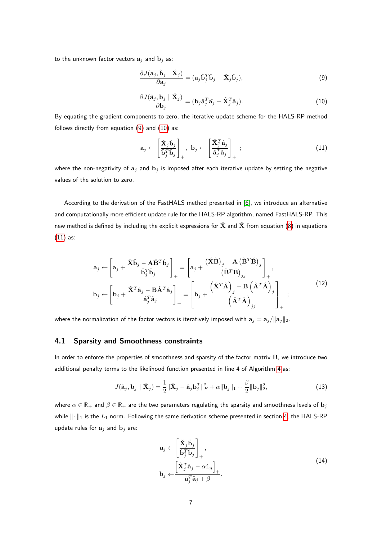to the unknown factor vectors  $\mathbf{a}_j$  and  $\mathbf{b}_j$  as:

<span id="page-6-0"></span>
$$
\frac{\partial J(\mathbf{a}_j, \check{\mathbf{b}}_j \mid \check{\mathbf{X}}_j)}{\partial \mathbf{a}_j} = (\mathbf{a}_j \check{\mathbf{b}}_j^T \check{\mathbf{b}}_j - \check{\mathbf{X}}_j \check{\mathbf{b}}_j),\tag{9}
$$

<span id="page-6-1"></span>
$$
\frac{\partial J(\hat{\mathbf{a}}_j, \mathbf{b}_j \mid \hat{\mathbf{X}}_j)}{\partial \mathbf{b}_j} = (\mathbf{b}_j \hat{\mathbf{a}}_j^T \hat{\mathbf{a}}_j - \hat{\mathbf{X}}_j^T \hat{\mathbf{a}}_j). \tag{10}
$$

By equating the gradient components to zero, the iterative update scheme for the HALS-RP method follows directly from equation [\(9\)](#page-6-0) and [\(10\)](#page-6-1) as:

<span id="page-6-2"></span>
$$
\mathbf{a}_{j} \leftarrow \begin{bmatrix} \check{\mathbf{X}}_{j} \check{\mathbf{b}}_{j} \\ \check{\mathbf{b}}_{j}^{T} \check{\mathbf{b}}_{j} \end{bmatrix}_{+}, \ \mathbf{b}_{j} \leftarrow \begin{bmatrix} \hat{\mathbf{X}}_{j}^{T} \hat{\mathbf{a}}_{j} \\ \hat{\mathbf{a}}_{j}^{T} \hat{\mathbf{a}}_{j} \end{bmatrix}_{+} ; \tag{11}
$$

where the non-negativity of  $a_i$  and  $b_j$  is imposed after each iterative update by setting the negative values of the solution to zero.

According to the derivation of the FastHALS method presented in [\[6\]](#page-17-5), we introduce an alternative and computationally more efficient update rule for the HALS-RP algorithm, named FastHALS-RP. This new method is defined by including the explicit expressions for  $\hat{\mathbf{X}}$  and  $\check{\mathbf{X}}$  from equation [\(8\)](#page-5-2) in equations [\(11\)](#page-6-2) as:

$$
\mathbf{a}_{j} \leftarrow \left[\mathbf{a}_{j} + \frac{\check{\mathbf{X}}\check{\mathbf{b}}_{j} - \mathbf{A}\check{\mathbf{B}}^{T}\check{\mathbf{b}}_{j}}{\check{\mathbf{b}}_{j}^{T}\check{\mathbf{b}}_{j}}\right]_{+} = \left[\mathbf{a}_{j} + \frac{(\check{\mathbf{X}}\check{\mathbf{B}})_{j} - \mathbf{A}(\check{\mathbf{B}}^{T}\check{\mathbf{B}})_{j}}{(\check{\mathbf{B}}^{T}\check{\mathbf{B}})_{jj}}\right]_{+},
$$
\n
$$
\mathbf{b}_{j} \leftarrow \left[\mathbf{b}_{j} + \frac{\hat{\mathbf{X}}^{T}\hat{\mathbf{a}}_{j} - \mathbf{B}\hat{\mathbf{A}}^{T}\hat{\mathbf{a}}_{j}}{\hat{\mathbf{a}}_{j}^{T}\hat{\mathbf{a}}_{j}}\right]_{+} = \left[\mathbf{b}_{j} + \frac{(\hat{\mathbf{X}}^{T}\hat{\mathbf{A}})_{j} - \mathbf{B}(\hat{\mathbf{A}}^{T}\hat{\mathbf{A}})_{j}}{(\hat{\mathbf{A}}^{T}\hat{\mathbf{A}})_{jj}}\right]_{+};
$$
\n(12)

where the normalization of the factor vectors is iteratively imposed with  $\mathbf{a}_i = \mathbf{a}_i / \|\mathbf{a}_i\|_2$ .

## 4.1 Sparsity and Smoothness constraints

In order to enforce the properties of smoothness and sparsity of the factor matrix B, we introduce two additional penalty terms to the likelihood function presented in line 4 of Algorithm [4](#page-5-1) as:

$$
J(\hat{\mathbf{a}}_j, \mathbf{b}_j \mid \hat{\mathbf{X}}_j) = \frac{1}{2} ||\hat{\mathbf{X}}_j - \hat{\mathbf{a}}_j \mathbf{b}_j^T||_F^2 + \alpha ||\mathbf{b}_j||_1 + \frac{\beta}{2} ||\mathbf{b}_j||_2^2,
$$
\n(13)

where  $\alpha \in \mathbb{R}_+$  and  $\beta \in \mathbb{R}_+$  are the two parameters regulating the sparsity and smoothness levels of  $\mathbf{b}_j$ while  $\|\cdot\|_1$  is the  $L_1$  norm. Following the same derivation scheme presented in section [4,](#page-5-3) the HALS-RP update rules for  $a_j$  and  $b_j$  are:

$$
\mathbf{a}_{j} \leftarrow \left[ \frac{\check{\mathbf{X}}_{j} \check{\mathbf{b}}_{j}}{\check{\mathbf{b}}_{j}^{T} \check{\mathbf{b}}_{j}} \right]_{+},
$$
\n
$$
\mathbf{b}_{j} \leftarrow \frac{\left[ \hat{\mathbf{X}}_{j}^{T} \hat{\mathbf{a}}_{j} - \alpha \mathbb{1}_{n} \right]_{+}}{\hat{\mathbf{a}}_{j}^{T} \hat{\mathbf{a}}_{j} + \beta},
$$
\n(14)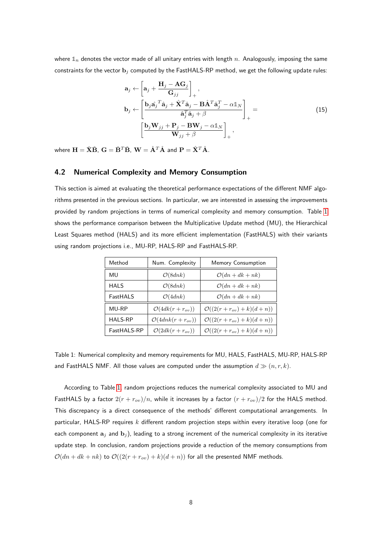where  $\mathbb{1}_n$  denotes the vector made of all unitary entries with length  $n$ . Analogously, imposing the same constraints for the vector  $\mathbf{b}_j$  computed by the FastHALS-RP method, we get the following update rules:

$$
\mathbf{a}_{j} \leftarrow \left[\mathbf{a}_{j} + \frac{\mathbf{H}_{j} - \mathbf{A}\mathbf{G}_{j}}{\mathbf{G}_{jj}}\right]_{+},
$$
\n
$$
\mathbf{b}_{j} \leftarrow \left[\frac{\mathbf{b}_{j}\hat{\mathbf{a}}_{j}^{T}\hat{\mathbf{a}}_{j} + \hat{\mathbf{X}}^{T}\hat{\mathbf{a}}_{j} - \mathbf{B}\hat{\mathbf{A}}^{T}\hat{\mathbf{a}}_{j}^{T} - \alpha\mathbb{1}_{N}}{\hat{\mathbf{a}}_{j}^{T}\hat{\mathbf{a}}_{j} + \beta}\right]_{+} =
$$
\n
$$
\left[\frac{\mathbf{b}_{j}\mathbf{W}_{jj} + \mathbf{P}_{j} - \mathbf{B}\mathbf{W}_{j} - \alpha\mathbb{1}_{N}}{\mathbf{W}_{jj} + \beta}\right]_{+},
$$
\n(15)

where  $\mathbf{H} = \check{\mathbf{X}} \check{\mathbf{B}}$ ,  $\mathbf{G} = \check{\mathbf{B}}^T \check{\mathbf{B}}$ ,  $\mathbf{W} = \hat{\mathbf{A}}^T \hat{\mathbf{A}}$  and  $\mathbf{P} = \hat{\mathbf{X}}^T \hat{\mathbf{A}}$ .

### <span id="page-7-1"></span>4.2 Numerical Complexity and Memory Consumption

This section is aimed at evaluating the theoretical performance expectations of the different NMF algorithms presented in the previous sections. In particular, we are interested in assessing the improvements provided by random projections in terms of numerical complexity and memory consumption. Table [1](#page-7-0) shows the performance comparison between the Multiplicative Update method (MU), the Hierarchical Least Squares method (HALS) and its more efficient implementation (FastHALS) with their variants using random projections i.e., MU-RP, HALS-RP and FastHALS-RP.

<span id="page-7-0"></span>

| Method         | Num. Complexity               | Memory Consumption                        |
|----------------|-------------------------------|-------------------------------------------|
| MU             | O(8dnk)                       | $\mathcal{O}(dn + dk + nk)$               |
| <b>HALS</b>    | O(8dnk)                       | $\mathcal{O}(dn + dk + nk)$               |
| FastHALS       | O(4dnk)                       | $\mathcal{O}(dn + dk + nk)$               |
| MU-RP          | $\mathcal{O}(4dk(r+r_{ov}))$  | $\mathcal{O}((2(r + r_{ov}) + k)(d + n))$ |
| <b>HALS-RP</b> | $\mathcal{O}(4dnk(r+r_{ov}))$ | $\mathcal{O}((2(r + r_{ov}) + k)(d + n))$ |
| FastHALS-RP    | $\mathcal{O}(2dk(r+r_{ov}))$  | $\mathcal{O}((2(r + r_{ov}) + k)(d + n))$ |

Table 1: Numerical complexity and memory requirements for MU, HALS, FastHALS, MU-RP, HALS-RP and FastHALS NMF. All those values are computed under the assumption  $d \gg (n, r, k)$ .

According to Table [1,](#page-7-0) random projections reduces the numerical complexity associated to MU and FastHALS by a factor  $2(r + r_{ov})/n$ , while it increases by a factor  $(r + r_{ov})/2$  for the HALS method. This discrepancy is a direct consequence of the methods' different computational arrangements. In particular, HALS-RP requires  $k$  different random projection steps within every iterative loop (one for each component  $a_i$  and  $b_i$ ), leading to a strong increment of the numerical complexity in its iterative update step. In conclusion, random projections provide a reduction of the memory consumptions from  $\mathcal{O}(dn + dk + nk)$  to  $\mathcal{O}((2(r + r_{ov}) + k)(d + n))$  for all the presented NMF methods.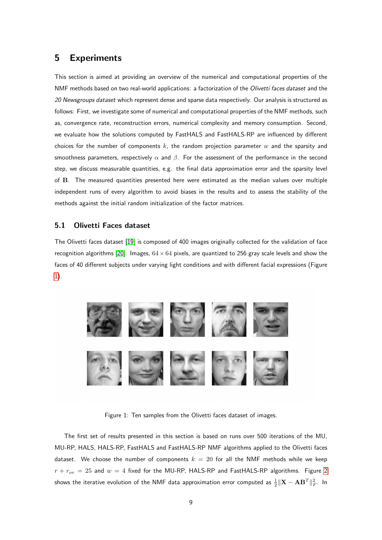## 5 Experiments

This section is aimed at providing an overview of the numerical and computational properties of the NMF methods based on two real-world applications: a factorization of the Olivetti faces dataset and the 20 Newsgroups dataset which represent dense and sparse data respectively. Our analysis is structured as follows: First, we investigate some of numerical and computational properties of the NMF methods, such as, convergence rate, reconstruction errors, numerical complexity and memory consumption. Second, we evaluate how the solutions computed by FastHALS and FastHALS-RP are influenced by different choices for the number of components k, the random projection parameter  $w$  and the sparsity and smoothness parameters, respectively  $\alpha$  and  $\beta$ . For the assessment of the performance in the second step, we discuss measurable quantities, e.g. the final data approximation error and the sparsity level of B. The measured quantities presented here were estimated as the median values over multiple independent runs of every algorithm to avoid biases in the results and to assess the stability of the methods against the initial random initialization of the factor matrices.

#### <span id="page-8-1"></span>5.1 Olivetti Faces dataset

The Olivetti faces dataset [\[19\]](#page-18-11) is composed of 400 images originally collected for the validation of face recognition algorithms [\[20\]](#page-18-12). Images,  $64 \times 64$  pixels, are quantized to 256 gray scale levels and show the faces of 40 different subjects under varying light conditions and with different facial expressions (Figure [1\)](#page-8-0).

<span id="page-8-0"></span>

Figure 1: Ten samples from the Olivetti faces dataset of images.

The first set of results presented in this section is based on runs over 500 iterations of the MU, MU-RP, HALS, HALS-RP, FastHALS and FastHALS-RP NMF algorithms applied to the Olivetti faces dataset. We choose the number of components  $k = 20$  for all the NMF methods while we keep  $r + r_{ov} = 25$  $r + r_{ov} = 25$  $r + r_{ov} = 25$  and  $w = 4$  fixed for the MU-RP, HALS-RP and FastHALS-RP algorithms. Figure 2 shows the iterative evolution of the NMF data approximation error computed as  $\frac{1}{2}\|\mathbf{X}-\mathbf{A}\mathbf{B}^T\|_F^2$ . In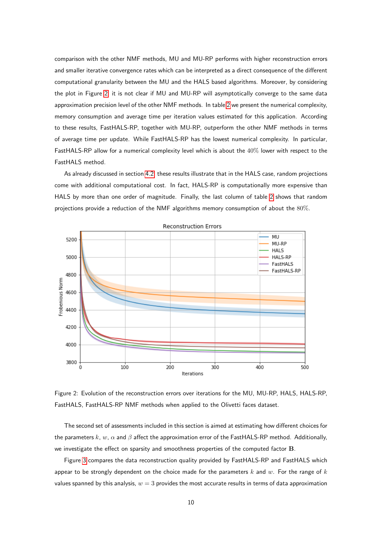comparison with the other NMF methods, MU and MU-RP performs with higher reconstruction errors and smaller iterative convergence rates which can be interpreted as a direct consequence of the different computational granularity between the MU and the HALS based algorithms. Moreover, by considering the plot in Figure [2,](#page-9-0) it is not clear if MU and MU-RP will asymptotically converge to the same data approximation precision level of the other NMF methods. In table [2](#page-10-0) we present the numerical complexity, memory consumption and average time per iteration values estimated for this application. According to these results, FastHALS-RP, together with MU-RP, outperform the other NMF methods in terms of average time per update. While FastHALS-RP has the lowest numerical complexity. In particular, FastHALS-RP allow for a numerical complexity level which is about the 40% lower with respect to the FastHALS method.

As already discussed in section [4.2,](#page-7-1) these results illustrate that in the HALS case, random projections come with additional computational cost. In fact, HALS-RP is computationally more expensive than HALS by more than one order of magnitude. Finally, the last column of table [2](#page-10-0) shows that random projections provide a reduction of the NMF algorithms memory consumption of about the 80%.

<span id="page-9-0"></span>

**Reconstruction Errors** 

Figure 2: Evolution of the reconstruction errors over iterations for the MU, MU-RP, HALS, HALS-RP, FastHALS, FastHALS-RP NMF methods when applied to the Olivetti faces dataset.

The second set of assessments included in this section is aimed at estimating how different choices for the parameters k, w,  $\alpha$  and  $\beta$  affect the approximation error of the FastHALS-RP method. Additionally, we investigate the effect on sparsity and smoothness properties of the computed factor B.

Figure [3](#page-10-1) compares the data reconstruction quality provided by FastHALS-RP and FastHALS which appear to be strongly dependent on the choice made for the parameters  $k$  and  $w$ . For the range of  $k$ values spanned by this analysis,  $w = 3$  provides the most accurate results in terms of data approximation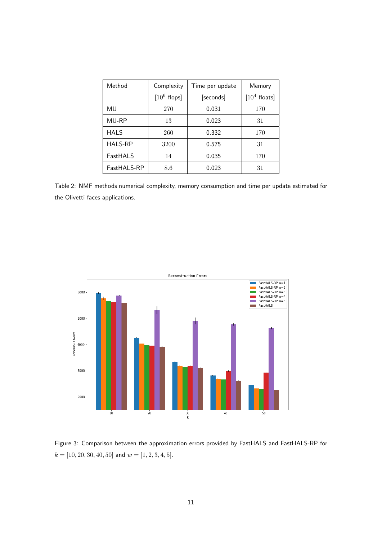<span id="page-10-0"></span>

| Method         | Complexity     | Time per update | Memory         |
|----------------|----------------|-----------------|----------------|
|                | $[10^6$ flops] | [seconds]       | $[104$ floats] |
| MU             | 270            | 0.031           | 170            |
| MU-RP          | 13             | 0.023           | 31             |
| <b>HALS</b>    | 260            | 0.332           | 170            |
| <b>HALS-RP</b> | 3200           | 0.575           | 31             |
| FastHALS       | 14             | 0.035           | 170            |
| FastHALS-RP    | 8.6            | 0.023           | 31             |

Table 2: NMF methods numerical complexity, memory consumption and time per update estimated for the Olivetti faces applications.

<span id="page-10-1"></span>

Figure 3: Comparison between the approximation errors provided by FastHALS and FastHALS-RP for  $k = [10, 20, 30, 40, 50]$  and  $w = [1, 2, 3, 4, 5]$ .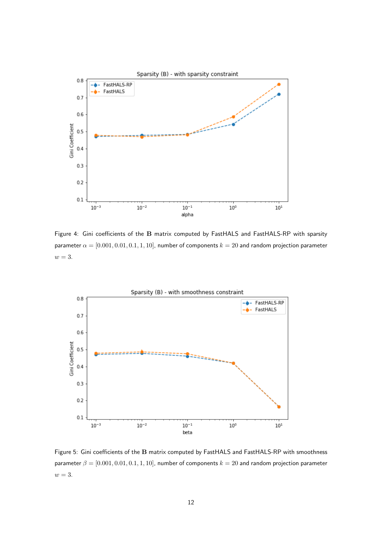<span id="page-11-0"></span>

Figure 4: Gini coefficients of the B matrix computed by FastHALS and FastHALS-RP with sparsity parameter  $\alpha = [0.001, 0.01, 0.1, 1, 10]$ , number of components  $k = 20$  and random projection parameter  $w = 3$ .

<span id="page-11-1"></span>

Figure 5: Gini coefficients of the B matrix computed by FastHALS and FastHALS-RP with smoothness parameter  $\beta = [0.001, 0.01, 0.1, 1, 10]$ , number of components  $k = 20$  and random projection parameter  $w = 3$ .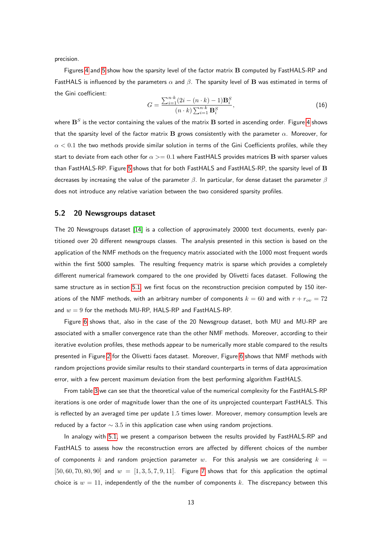precision.

Figures [4](#page-11-0) and [5](#page-11-1) show how the sparsity level of the factor matrix B computed by FastHALS-RP and FastHALS is influenced by the parameters  $\alpha$  and  $\beta$ . The sparsity level of **B** was estimated in terms of the Gini coefficient:

$$
G = \frac{\sum_{i=1}^{n \cdot k} (2i - (n \cdot k) - 1) \mathbf{B}_i^S}{(n \cdot k) \sum_{i=1}^{n \cdot k} \mathbf{B}_i^S},
$$
(16)

where  $\mathbf{B}^S$  is the vector containing the values of the matrix  $\mathbf B$  sorted in ascending order. Figure [4](#page-11-0) shows that the sparsity level of the factor matrix B grows consistently with the parameter  $\alpha$ . Moreover, for  $\alpha < 0.1$  the two methods provide similar solution in terms of the Gini Coefficients profiles, while they start to deviate from each other for  $\alpha >= 0.1$  where FastHALS provides matrices B with sparser values than FastHALS-RP. Figure [5](#page-11-1) shows that for both FastHALS and FastHALS-RP, the sparsity level of B decreases by increasing the value of the parameter  $\beta$ . In particular, for dense dataset the parameter  $\beta$ does not introduce any relative variation between the two considered sparsity profiles.

#### 5.2 20 Newsgroups dataset

The 20 Newsgroups dataset [\[14\]](#page-18-13) is a collection of approximately 20000 text documents, evenly partitioned over 20 different newsgroups classes. The analysis presented in this section is based on the application of the NMF methods on the frequency matrix associated with the 1000 most frequent words within the first 5000 samples. The resulting frequency matrix is sparse which provides a completely different numerical framework compared to the one provided by Olivetti faces dataset. Following the same structure as in section [5.1,](#page-8-1) we first focus on the reconstruction precision computed by 150 iterations of the NMF methods, with an arbitrary number of components  $k = 60$  and with  $r + r_{av} = 72$ and  $w = 9$  for the methods MU-RP, HALS-RP and FastHALS-RP.

Figure [6](#page-13-0) shows that, also in the case of the 20 Newsgroup dataset, both MU and MU-RP are associated with a smaller convergence rate than the other NMF methods. Moreover, according to their iterative evolution profiles, these methods appear to be numerically more stable compared to the results presented in Figure [2](#page-9-0) for the Olivetti faces dataset. Moreover, Figure [6](#page-13-0) shows that NMF methods with random projections provide similar results to their standard counterparts in terms of data approximation error, with a few percent maximum deviation from the best performing algorithm FastHALS.

From table [3](#page-13-1) we can see that the theoretical value of the numerical complexity for the FastHALS-RP iterations is one order of magnitude lower than the one of its unprojected counterpart FastHALS. This is reflected by an averaged time per update 1.5 times lower. Moreover, memory consumption levels are reduced by a factor  $\sim 3.5$  in this application case when using random projections.

In analogy with [5.1,](#page-8-1) we present a comparison between the results provided by FastHALS-RP and FastHALS to assess how the reconstruction errors are affected by different choices of the number of components k and random projection parameter w. For this analysis we are considering  $k =$  $[50, 60, 70, 80, 90]$  $[50, 60, 70, 80, 90]$  $[50, 60, 70, 80, 90]$  and  $w = [1, 3, 5, 7, 9, 11]$ . Figure 7 shows that for this application the optimal choice is  $w = 11$ , independently of the the number of components k. The discrepancy between this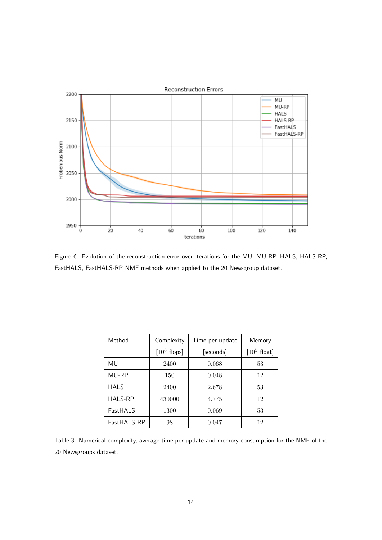<span id="page-13-0"></span>

Figure 6: Evolution of the reconstruction error over iterations for the MU, MU-RP, HALS, HALS-RP, FastHALS, FastHALS-RP NMF methods when applied to the 20 Newsgroup dataset.

<span id="page-13-1"></span>

| Method         | Complexity     | Time per update | Memory         |
|----------------|----------------|-----------------|----------------|
|                | $[10^6$ flops] | [seconds]       | $[10^5$ float] |
| MU             | 2400           | 0.068           | 53             |
| MU-RP          | 150            | 0.048           | 12             |
| <b>HALS</b>    | 2400           | 2.678           | 53             |
| <b>HALS-RP</b> | 430000         | 4.775           | 12             |
| FastHALS       | 1300           | 0.069           | 53             |
| FastHALS-RP    | 98             | 0.047           | 12             |

Table 3: Numerical complexity, average time per update and memory consumption for the NMF of the 20 Newsgroups dataset.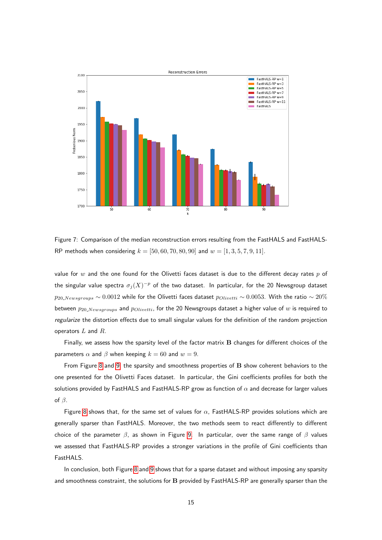<span id="page-14-0"></span>

Figure 7: Comparison of the median reconstruction errors resulting from the FastHALS and FastHALS-RP methods when considering  $k = [50, 60, 70, 80, 90]$  and  $w = [1, 3, 5, 7, 9, 11]$ .

value for  $w$  and the one found for the Olivetti faces dataset is due to the different decay rates  $p$  of the singular value spectra  $\sigma_j(X)^{-p}$  of the two dataset. In particular, for the 20 Newsgroup dataset  $p_{20\text{.}Newsgroups} \sim 0.0012$  while for the Olivetti faces dataset  $p_{Olivetti} \sim 0.0053$ . With the ratio ~ 20% between  $p_{20. Newsgroups}$  and  $p_{Olivetti}$ , for the 20 Newsgroups dataset a higher value of w is required to regularize the distortion effects due to small singular values for the definition of the random projection operators  $L$  and  $R$ .

Finally, we assess how the sparsity level of the factor matrix B changes for different choices of the parameters  $\alpha$  and  $\beta$  when keeping  $k = 60$  and  $w = 9$ .

From Figure [8](#page-15-0) and [9,](#page-15-1) the sparsity and smoothness properties of B show coherent behaviors to the one presented for the Olivetti Faces dataset. In particular, the Gini coefficients profiles for both the solutions provided by FastHALS and FastHALS-RP grow as function of  $\alpha$  and decrease for larger values of  $\beta$ .

Figure [8](#page-15-0) shows that, for the same set of values for  $\alpha$ , FastHALS-RP provides solutions which are generally sparser than FastHALS. Moreover, the two methods seem to react differently to different choice of the parameter  $\beta$ , as shown in Figure [9.](#page-15-1) In particular, over the same range of  $\beta$  values we assessed that FastHALS-RP provides a stronger variations in the profile of Gini coefficients than FastHALS.

In conclusion, both Figure [8](#page-15-0) and [9](#page-15-1) shows that for a sparse dataset and without imposing any sparsity and smoothness constraint, the solutions for B provided by FastHALS-RP are generally sparser than the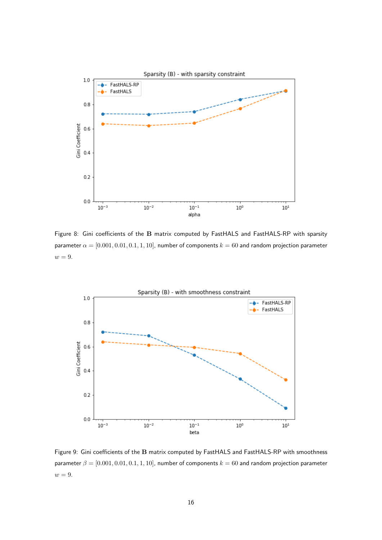<span id="page-15-0"></span>

Figure 8: Gini coefficients of the B matrix computed by FastHALS and FastHALS-RP with sparsity parameter  $\alpha = [0.001, 0.01, 0.1, 1, 10]$ , number of components  $k = 60$  and random projection parameter  $w = 9$ .

<span id="page-15-1"></span>

Figure 9: Gini coefficients of the B matrix computed by FastHALS and FastHALS-RP with smoothness parameter  $\beta = [0.001, 0.01, 0.1, 1, 10]$ , number of components  $k = 60$  and random projection parameter  $w = 9$ .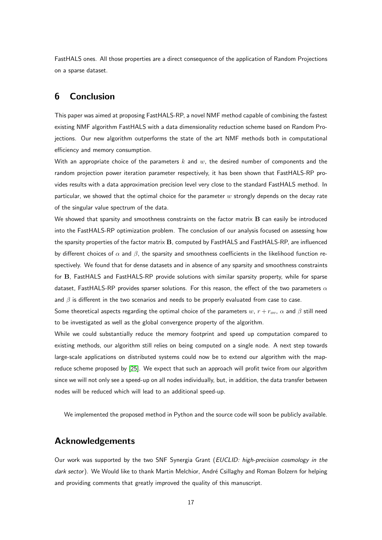FastHALS ones. All those properties are a direct consequence of the application of Random Projections on a sparse dataset.

# 6 Conclusion

This paper was aimed at proposing FastHALS-RP, a novel NMF method capable of combining the fastest existing NMF algorithm FastHALS with a data dimensionality reduction scheme based on Random Projections. Our new algorithm outperforms the state of the art NMF methods both in computational efficiency and memory consumption.

With an appropriate choice of the parameters k and  $w$ , the desired number of components and the random projection power iteration parameter respectively, it has been shown that FastHALS-RP provides results with a data approximation precision level very close to the standard FastHALS method. In particular, we showed that the optimal choice for the parameter  $w$  strongly depends on the decay rate of the singular value spectrum of the data.

We showed that sparsity and smoothness constraints on the factor matrix **B** can easily be introduced into the FastHALS-RP optimization problem. The conclusion of our analysis focused on assessing how the sparsity properties of the factor matrix B, computed by FastHALS and FastHALS-RP, are influenced by different choices of  $\alpha$  and  $\beta$ , the sparsity and smoothness coefficients in the likelihood function respectively. We found that for dense datasets and in absence of any sparsity and smoothness constraints for B, FastHALS and FastHALS-RP provide solutions with similar sparsity property, while for sparse dataset, FastHALS-RP provides sparser solutions. For this reason, the effect of the two parameters  $\alpha$ and  $\beta$  is different in the two scenarios and needs to be properly evaluated from case to case.

Some theoretical aspects regarding the optimal choice of the parameters w,  $r + r_{ov}$ ,  $\alpha$  and  $\beta$  still need to be investigated as well as the global convergence property of the algorithm.

While we could substantially reduce the memory footprint and speed up computation compared to existing methods, our algorithm still relies on being computed on a single node. A next step towards large-scale applications on distributed systems could now be to extend our algorithm with the mapreduce scheme proposed by [\[25\]](#page-18-2). We expect that such an approach will profit twice from our algorithm since we will not only see a speed-up on all nodes individually, but, in addition, the data transfer between nodes will be reduced which will lead to an additional speed-up.

We implemented the proposed method in Python and the source code will soon be publicly available.

# Acknowledgements

Our work was supported by the two SNF Synergia Grant (EUCLID: high-precision cosmology in the dark sector). We Would like to thank Martin Melchior, André Csillaghy and Roman Bolzern for helping and providing comments that greatly improved the quality of this manuscript.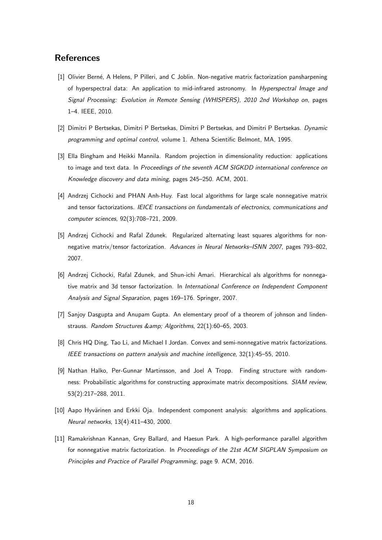## **References**

- <span id="page-17-1"></span>[1] Olivier Berné, A Helens, P Pilleri, and C Joblin. Non-negative matrix factorization pansharpening of hyperspectral data: An application to mid-infrared astronomy. In Hyperspectral Image and Signal Processing: Evolution in Remote Sensing (WHISPERS), 2010 2nd Workshop on, pages 1–4. IEEE, 2010.
- <span id="page-17-6"></span>[2] Dimitri P Bertsekas, Dimitri P Bertsekas, Dimitri P Bertsekas, and Dimitri P Bertsekas. Dynamic programming and optimal control, volume 1. Athena Scientific Belmont, MA, 1995.
- <span id="page-17-8"></span>[3] Ella Bingham and Heikki Mannila. Random projection in dimensionality reduction: applications to image and text data. In Proceedings of the seventh ACM SIGKDD international conference on Knowledge discovery and data mining, pages 245–250. ACM, 2001.
- <span id="page-17-4"></span>[4] Andrzej Cichocki and PHAN Anh-Huy. Fast local algorithms for large scale nonnegative matrix and tensor factorizations. IEICE transactions on fundamentals of electronics, communications and computer sciences, 92(3):708–721, 2009.
- <span id="page-17-7"></span>[5] Andrzej Cichocki and Rafal Zdunek. Regularized alternating least squares algorithms for nonnegative matrix/tensor factorization. Advances in Neural Networks–ISNN 2007, pages 793–802, 2007.
- <span id="page-17-5"></span>[6] Andrzej Cichocki, Rafal Zdunek, and Shun-ichi Amari. Hierarchical als algorithms for nonnegative matrix and 3d tensor factorization. In International Conference on Independent Component Analysis and Signal Separation, pages 169–176. Springer, 2007.
- <span id="page-17-9"></span>[7] Sanjoy Dasgupta and Anupam Gupta. An elementary proof of a theorem of johnson and lindenstrauss. Random Structures & amp; Algorithms, 22(1):60-65, 2003.
- <span id="page-17-3"></span>[8] Chris HQ Ding, Tao Li, and Michael I Jordan. Convex and semi-nonnegative matrix factorizations. IEEE transactions on pattern analysis and machine intelligence, 32(1):45–55, 2010.
- <span id="page-17-10"></span>[9] Nathan Halko, Per-Gunnar Martinsson, and Joel A Tropp. Finding structure with randomness: Probabilistic algorithms for constructing approximate matrix decompositions. SIAM review, 53(2):217–288, 2011.
- <span id="page-17-0"></span>[10] Aapo Hyvärinen and Erkki Oja. Independent component analysis: algorithms and applications. Neural networks, 13(4):411–430, 2000.
- <span id="page-17-2"></span>[11] Ramakrishnan Kannan, Grey Ballard, and Haesun Park. A high-performance parallel algorithm for nonnegative matrix factorization. In Proceedings of the 21st ACM SIGPLAN Symposium on Principles and Practice of Parallel Programming, page 9. ACM, 2016.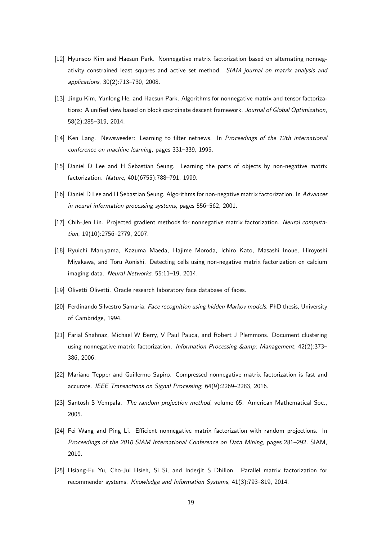- <span id="page-18-8"></span>[12] Hyunsoo Kim and Haesun Park. Nonnegative matrix factorization based on alternating nonnegativity constrained least squares and active set method. SIAM journal on matrix analysis and applications, 30(2):713–730, 2008.
- <span id="page-18-10"></span>[13] Jingu Kim, Yunlong He, and Haesun Park. Algorithms for nonnegative matrix and tensor factorizations: A unified view based on block coordinate descent framework. Journal of Global Optimization, 58(2):285–319, 2014.
- <span id="page-18-13"></span>[14] Ken Lang. Newsweeder: Learning to filter netnews. In Proceedings of the 12th international conference on machine learning, pages 331–339, 1995.
- <span id="page-18-6"></span>[15] Daniel D Lee and H Sebastian Seung. Learning the parts of objects by non-negative matrix factorization. Nature, 401(6755):788–791, 1999.
- <span id="page-18-7"></span>[16] Daniel D Lee and H Sebastian Seung. Algorithms for non-negative matrix factorization. In Advances in neural information processing systems, pages 556–562, 2001.
- <span id="page-18-9"></span>[17] Chih-Jen Lin. Projected gradient methods for nonnegative matrix factorization. Neural computation, 19(10):2756–2779, 2007.
- <span id="page-18-0"></span>[18] Ryuichi Maruyama, Kazuma Maeda, Hajime Moroda, Ichiro Kato, Masashi Inoue, Hiroyoshi Miyakawa, and Toru Aonishi. Detecting cells using non-negative matrix factorization on calcium imaging data. Neural Networks, 55:11–19, 2014.
- <span id="page-18-11"></span>[19] Olivetti Olivetti. Oracle research laboratory face database of faces.
- <span id="page-18-12"></span>[20] Ferdinando Silvestro Samaria. Face recognition using hidden Markov models. PhD thesis, University of Cambridge, 1994.
- <span id="page-18-1"></span>[21] Farial Shahnaz, Michael W Berry, V Paul Pauca, and Robert J Plemmons. Document clustering using nonnegative matrix factorization. Information Processing & amp; Management, 42(2):373-386, 2006.
- <span id="page-18-4"></span>[22] Mariano Tepper and Guillermo Sapiro. Compressed nonnegative matrix factorization is fast and accurate. IEEE Transactions on Signal Processing, 64(9):2269–2283, 2016.
- <span id="page-18-5"></span>[23] Santosh S Vempala. The random projection method, volume 65. American Mathematical Soc., 2005.
- <span id="page-18-3"></span>[24] Fei Wang and Ping Li. Efficient nonnegative matrix factorization with random projections. In Proceedings of the 2010 SIAM International Conference on Data Mining, pages 281–292. SIAM, 2010.
- <span id="page-18-2"></span>[25] Hsiang-Fu Yu, Cho-Jui Hsieh, Si Si, and Inderjit S Dhillon. Parallel matrix factorization for recommender systems. Knowledge and Information Systems, 41(3):793–819, 2014.